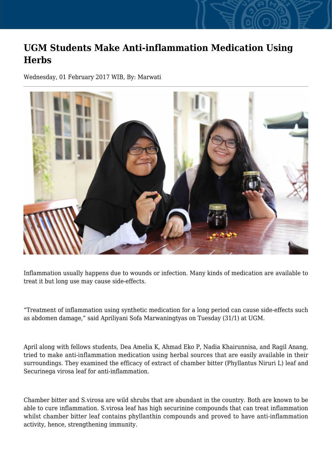## **UGM Students Make Anti-inflammation Medication Using Herbs**

Wednesday, 01 February 2017 WIB, By: Marwati



Inflammation usually happens due to wounds or infection. Many kinds of medication are available to treat it but long use may cause side-effects.

"Treatment of inflammation using synthetic medication for a long period can cause side-effects such as abdomen damage," said Apriliyani Sofa Marwaningtyas on Tuesday (31/1) at UGM.

April along with fellows students, Dea Amelia K, Ahmad Eko P, Nadia Khairunnisa, and Ragil Anang, tried to make anti-inflammation medication using herbal sources that are easily available in their surroundings. They examined the efficacy of extract of chamber bitter (Phyllantus Niruri L) leaf and Securinega virosa leaf for anti-inflammation.

Chamber bitter and S.virosa are wild shrubs that are abundant in the country. Both are known to be able to cure inflammation. S.virosa leaf has high securinine compounds that can treat inflammation whilst chamber bitter leaf contains phyllanthin compounds and proved to have anti-inflammation activity, hence, strengthening immunity.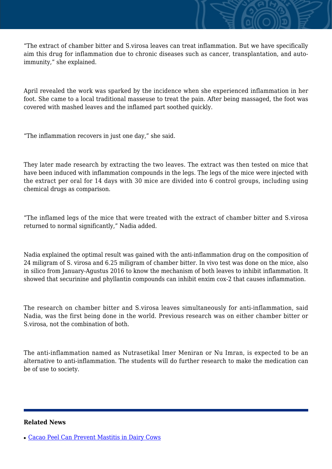"The extract of chamber bitter and S.virosa leaves can treat inflammation. But we have specifically aim this drug for inflammation due to chronic diseases such as cancer, transplantation, and autoimmunity," she explained.

April revealed the work was sparked by the incidence when she experienced inflammation in her foot. She came to a local traditional masseuse to treat the pain. After being massaged, the foot was covered with mashed leaves and the inflamed part soothed quickly.

"The inflammation recovers in just one day," she said.

They later made research by extracting the two leaves. The extract was then tested on mice that have been induced with inflammation compounds in the legs. The legs of the mice were injected with the extract per oral for 14 days with 30 mice are divided into 6 control groups, including using chemical drugs as comparison.

"The inflamed legs of the mice that were treated with the extract of chamber bitter and S.virosa returned to normal significantly," Nadia added.

Nadia explained the optimal result was gained with the anti-inflammation drug on the composition of 24 miligram of S. virosa and 6.25 miligram of chamber bitter. In vivo test was done on the mice, also in silico from January-Agustus 2016 to know the mechanism of both leaves to inhibit inflammation. It showed that securinine and phyllantin compounds can inhibit enxim cox-2 that causes inflammation.

The research on chamber bitter and S.virosa leaves simultaneously for anti-inflammation, said Nadia, was the first being done in the world. Previous research was on either chamber bitter or S.virosa, not the combination of both.

The anti-inflammation named as Nutrasetikal Imer Meniran or Nu Imran, is expected to be an alternative to anti-inflammation. The students will do further research to make the medication can be of use to society.

## **Related News**

<sup>•</sup> [Cacao Peel Can Prevent Mastitis in Dairy Cows](http://ugm.ac.id/www.ugm.ac.id//en/news/16643-ugm-students-make-gingivitis-nano-spray-medication-from-spurges)